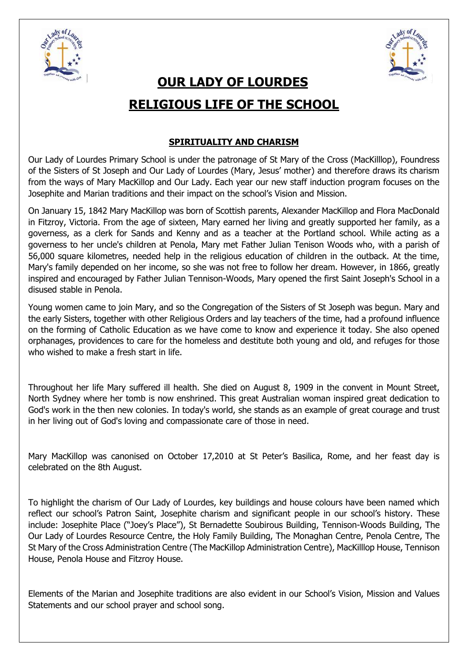



# **OUR LADY OF LOURDES RELIGIOUS LIFE OF THE SCHOOL**

## **SPIRITUALITY AND CHARISM**

Our Lady of Lourdes Primary School is under the patronage of St Mary of the Cross (MacKilllop), Foundress of the Sisters of St Joseph and Our Lady of Lourdes (Mary, Jesus' mother) and therefore draws its charism from the ways of Mary MacKillop and Our Lady. Each year our new staff induction program focuses on the Josephite and Marian traditions and their impact on the school's Vision and Mission.

On January 15, 1842 Mary MacKillop was born of Scottish parents, Alexander MacKillop and Flora MacDonald in Fitzroy, Victoria. From the age of sixteen, Mary earned her living and greatly supported her family, as a governess, as a clerk for Sands and Kenny and as a teacher at the Portland school. While acting as a governess to her uncle's children at Penola, Mary met Father Julian Tenison Woods who, with a parish of 56,000 square kilometres, needed help in the religious education of children in the outback. At the time, Mary's family depended on her income, so she was not free to follow her dream. However, in 1866, greatly inspired and encouraged by Father Julian Tennison-Woods, Mary opened the first Saint Joseph's School in a disused stable in Penola.

Young women came to join Mary, and so the Congregation of the Sisters of St Joseph was begun. Mary and the early Sisters, together with other Religious Orders and lay teachers of the time, had a profound influence on the forming of Catholic Education as we have come to know and experience it today. She also opened orphanages, providences to care for the homeless and destitute both young and old, and refuges for those who wished to make a fresh start in life.

Throughout her life Mary suffered ill health. She died on August 8, 1909 in the convent in Mount Street, North Sydney where her tomb is now enshrined. This great Australian woman inspired great dedication to God's work in the then new colonies. In today's world, she stands as an example of great courage and trust in her living out of God's loving and compassionate care of those in need.

Mary MacKillop was canonised on October 17,2010 at St Peter's Basilica, Rome, and her feast day is celebrated on the 8th August.

To highlight the charism of Our Lady of Lourdes, key buildings and house colours have been named which reflect our school's Patron Saint, Josephite charism and significant people in our school's history. These include: Josephite Place ("Joey's Place"), St Bernadette Soubirous Building, Tennison-Woods Building, The Our Lady of Lourdes Resource Centre, the Holy Family Building, The Monaghan Centre, Penola Centre, The St Mary of the Cross Administration Centre (The MacKillop Administration Centre), MacKilllop House, Tennison House, Penola House and Fitzroy House.

Elements of the Marian and Josephite traditions are also evident in our School's Vision, Mission and Values Statements and our school prayer and school song.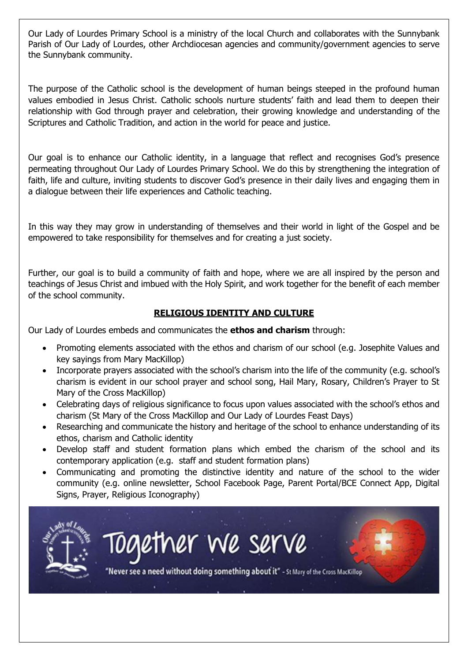Our Lady of Lourdes Primary School is a ministry of the local Church and collaborates with the Sunnybank Parish of Our Lady of Lourdes, other Archdiocesan agencies and community/government agencies to serve the Sunnybank community.

The purpose of the Catholic school is the development of human beings steeped in the profound human values embodied in Jesus Christ. Catholic schools nurture students' faith and lead them to deepen their relationship with God through prayer and celebration, their growing knowledge and understanding of the Scriptures and Catholic Tradition, and action in the world for peace and justice.

Our goal is to enhance our Catholic identity, in a language that reflect and recognises God's presence permeating throughout Our Lady of Lourdes Primary School. We do this by strengthening the integration of faith, life and culture, inviting students to discover God's presence in their daily lives and engaging them in a dialogue between their life experiences and Catholic teaching.

In this way they may grow in understanding of themselves and their world in light of the Gospel and be empowered to take responsibility for themselves and for creating a just society.

Further, our goal is to build a community of faith and hope, where we are all inspired by the person and teachings of Jesus Christ and imbued with the Holy Spirit, and work together for the benefit of each member of the school community.

### **RELIGIOUS IDENTITY AND CULTURE**

Our Lady of Lourdes embeds and communicates the **ethos and charism** through:

- Promoting elements associated with the ethos and charism of our school (e.g. Josephite Values and key sayings from Mary MacKillop)
- Incorporate prayers associated with the school's charism into the life of the community (e.g. school's charism is evident in our school prayer and school song, Hail Mary, Rosary, Children's Prayer to St Mary of the Cross MacKillop)
- Celebrating days of religious significance to focus upon values associated with the school's ethos and charism (St Mary of the Cross MacKillop and Our Lady of Lourdes Feast Days)
- Researching and communicate the history and heritage of the school to enhance understanding of its ethos, charism and Catholic identity
- Develop staff and student formation plans which embed the charism of the school and its contemporary application (e.g. staff and student formation plans)
- Communicating and promoting the distinctive identity and nature of the school to the wider community (e.g. online newsletter, School Facebook Page, Parent Portal/BCE Connect App, Digital Signs, Prayer, Religious Iconography)

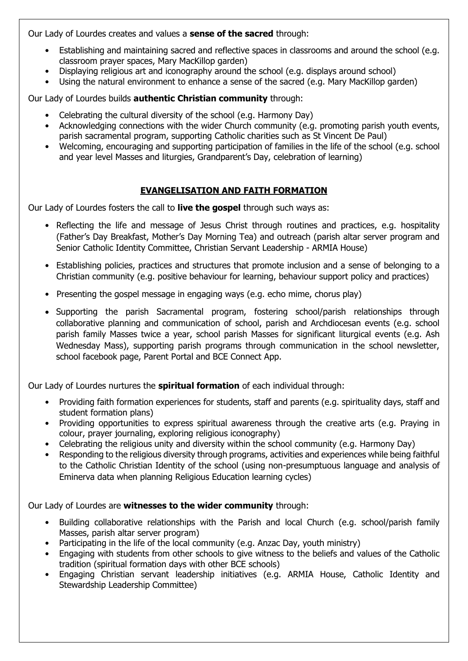Our Lady of Lourdes creates and values a **sense of the sacred** through:

- Establishing and maintaining sacred and reflective spaces in classrooms and around the school (e.g. classroom prayer spaces, Mary MacKillop garden)
- Displaying religious art and iconography around the school (e.g. displays around school)
- Using the natural environment to enhance a sense of the sacred (e.g. Mary MacKillop garden)

Our Lady of Lourdes builds **authentic Christian community** through:

- Celebrating the cultural diversity of the school (e.g. Harmony Day)
- Acknowledging connections with the wider Church community (e.g. promoting parish youth events, parish sacramental program, supporting Catholic charities such as St Vincent De Paul)
- Welcoming, encouraging and supporting participation of families in the life of the school (e.g. school and year level Masses and liturgies, Grandparent's Day, celebration of learning)

### **EVANGELISATION AND FAITH FORMATION**

Our Lady of Lourdes fosters the call to **live the gospel** through such ways as:

- Reflecting the life and message of Jesus Christ through routines and practices, e.g. hospitality (Father's Day Breakfast, Mother's Day Morning Tea) and outreach (parish altar server program and Senior Catholic Identity Committee, Christian Servant Leadership - ARMIA House)
- Establishing policies, practices and structures that promote inclusion and a sense of belonging to a Christian community (e.g. positive behaviour for learning, behaviour support policy and practices)
- Presenting the gospel message in engaging ways (e.g. echo mime, chorus play)
- Supporting the parish Sacramental program, fostering school/parish relationships through collaborative planning and communication of school, parish and Archdiocesan events (e.g. school parish family Masses twice a year, school parish Masses for significant liturgical events (e.g. Ash Wednesday Mass), supporting parish programs through communication in the school newsletter, school facebook page, Parent Portal and BCE Connect App.

Our Lady of Lourdes nurtures the **spiritual formation** of each individual through:

- Providing faith formation experiences for students, staff and parents (e.g. spirituality days, staff and student formation plans)
- Providing opportunities to express spiritual awareness through the creative arts (e.g. Praying in colour, prayer journaling, exploring religious iconography)
- Celebrating the religious unity and diversity within the school community (e.g. Harmony Day)
- Responding to the religious diversity through programs, activities and experiences while being faithful to the Catholic Christian Identity of the school (using non-presumptuous language and analysis of Eminerva data when planning Religious Education learning cycles)

Our Lady of Lourdes are **witnesses to the wider community** through:

- Building collaborative relationships with the Parish and local Church (e.g. school/parish family Masses, parish altar server program)
- Participating in the life of the local community (e.g. Anzac Day, youth ministry)
- Engaging with students from other schools to give witness to the beliefs and values of the Catholic tradition (spiritual formation days with other BCE schools)
- Engaging Christian servant leadership initiatives (e.g. ARMIA House, Catholic Identity and Stewardship Leadership Committee)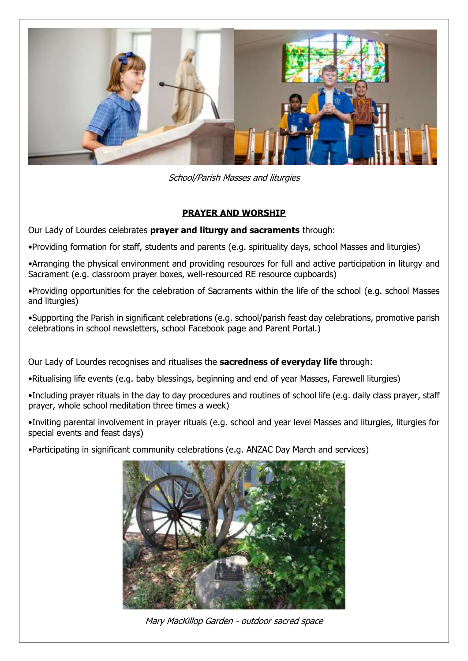

School/Parish Masses and liturgies

### **PRAYER AND WORSHIP**

Our Lady of Lourdes celebrates **prayer and liturgy and sacraments** through:

•Providing formation for staff, students and parents (e.g. spirituality days, school Masses and liturgies)

•Arranging the physical environment and providing resources for full and active participation in liturgy and Sacrament (e.g. classroom prayer boxes, well-resourced RE resource cupboards)

•Providing opportunities for the celebration of Sacraments within the life of the school (e.g. school Masses and liturgies)

•Supporting the Parish in significant celebrations (e.g. school/parish feast day celebrations, promotive parish celebrations in school newsletters, school Facebook page and Parent Portal.)

Our Lady of Lourdes recognises and ritualises the **sacredness of everyday life** through:

•Ritualising life events (e.g. baby blessings, beginning and end of year Masses, Farewell liturgies)

•Including prayer rituals in the day to day procedures and routines of school life (e.g. daily class prayer, staff prayer, whole school meditation three times a week)

•Inviting parental involvement in prayer rituals (e.g. school and year level Masses and liturgies, liturgies for special events and feast days)

•Participating in significant community celebrations (e.g. ANZAC Day March and services)



Mary MacKillop Garden - outdoor sacred space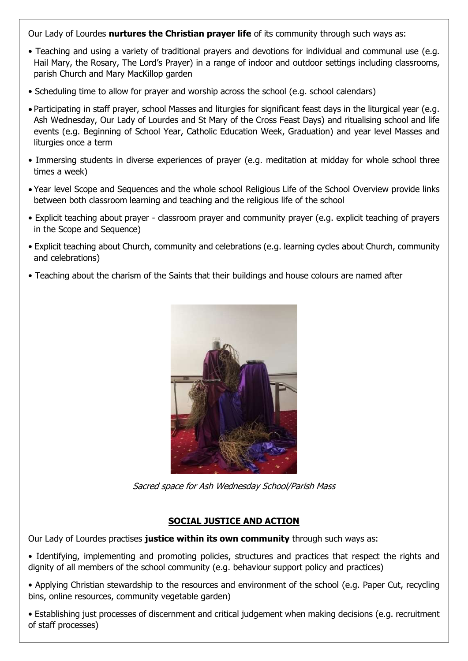Our Lady of Lourdes **nurtures the Christian prayer life** of its community through such ways as:

- Teaching and using a variety of traditional prayers and devotions for individual and communal use (e.g. Hail Mary, the Rosary, The Lord's Prayer) in a range of indoor and outdoor settings including classrooms, parish Church and Mary MacKillop garden
- Scheduling time to allow for prayer and worship across the school (e.g. school calendars)
- Participating in staff prayer, school Masses and liturgies for significant feast days in the liturgical year (e.g. Ash Wednesday, Our Lady of Lourdes and St Mary of the Cross Feast Days) and ritualising school and life events (e.g. Beginning of School Year, Catholic Education Week, Graduation) and year level Masses and liturgies once a term
- Immersing students in diverse experiences of prayer (e.g. meditation at midday for whole school three times a week)
- Year level Scope and Sequences and the whole school Religious Life of the School Overview provide links between both classroom learning and teaching and the religious life of the school
- Explicit teaching about prayer classroom prayer and community prayer (e.g. explicit teaching of prayers in the Scope and Sequence)
- Explicit teaching about Church, community and celebrations (e.g. learning cycles about Church, community and celebrations)
- Teaching about the charism of the Saints that their buildings and house colours are named after



Sacred space for Ash Wednesday School/Parish Mass

#### **SOCIAL JUSTICE AND ACTION**

Our Lady of Lourdes practises **justice within its own community** through such ways as:

- Identifying, implementing and promoting policies, structures and practices that respect the rights and dignity of all members of the school community (e.g. behaviour support policy and practices)
- Applying Christian stewardship to the resources and environment of the school (e.g. Paper Cut, recycling bins, online resources, community vegetable garden)
- Establishing just processes of discernment and critical judgement when making decisions (e.g. recruitment of staff processes)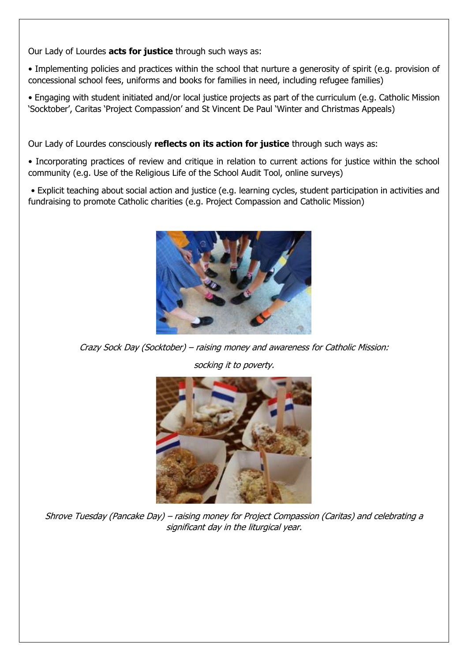Our Lady of Lourdes **acts for justice** through such ways as:

• Implementing policies and practices within the school that nurture a generosity of spirit (e.g. provision of concessional school fees, uniforms and books for families in need, including refugee families)

• Engaging with student initiated and/or local justice projects as part of the curriculum (e.g. Catholic Mission 'Socktober', Caritas 'Project Compassion' and St Vincent De Paul 'Winter and Christmas Appeals)

Our Lady of Lourdes consciously **reflects on its action for justice** through such ways as:

• Incorporating practices of review and critique in relation to current actions for justice within the school community (e.g. Use of the Religious Life of the School Audit Tool, online surveys)

• Explicit teaching about social action and justice (e.g. learning cycles, student participation in activities and fundraising to promote Catholic charities (e.g. Project Compassion and Catholic Mission)



Crazy Sock Day (Socktober) – raising money and awareness for Catholic Mission:

socking it to poverty.



Shrove Tuesday (Pancake Day) – raising money for Project Compassion (Caritas) and celebrating a significant day in the liturgical year.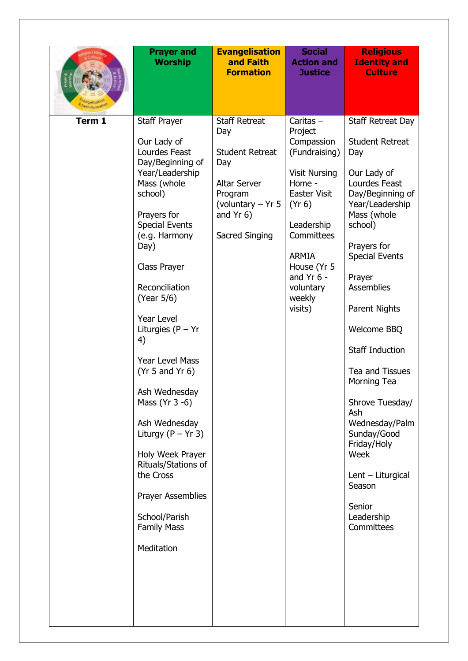|        | <b>Prayer and</b><br><b>Worship</b>                                                                                                                                                                                                                                                                                                                                                                                                                                                                                                                 | <b>Evangelisation</b><br>and Faith<br><b>Formation</b>                                                                                               | <b>Social</b><br><b>Action and</b><br><b>Justice</b>                                                                                                                                                                                  | <b>Religious</b><br><b>Identity and</b><br><b>Culture</b>                                                                                                                                                                                                                                                                                                                                                                                                                     |
|--------|-----------------------------------------------------------------------------------------------------------------------------------------------------------------------------------------------------------------------------------------------------------------------------------------------------------------------------------------------------------------------------------------------------------------------------------------------------------------------------------------------------------------------------------------------------|------------------------------------------------------------------------------------------------------------------------------------------------------|---------------------------------------------------------------------------------------------------------------------------------------------------------------------------------------------------------------------------------------|-------------------------------------------------------------------------------------------------------------------------------------------------------------------------------------------------------------------------------------------------------------------------------------------------------------------------------------------------------------------------------------------------------------------------------------------------------------------------------|
| Term 1 | <b>Staff Prayer</b><br>Our Lady of<br>Lourdes Feast<br>Day/Beginning of<br>Year/Leadership<br>Mass (whole<br>school)<br>Prayers for<br><b>Special Events</b><br>(e.g. Harmony<br>Day)<br>Class Prayer<br>Reconciliation<br>(Year 5/6)<br><b>Year Level</b><br>Liturgies $(P - Yr)$<br>4)<br>Year Level Mass<br>(Yr 5 and Yr 6)<br>Ash Wednesday<br>Mass (Yr 3 -6)<br>Ash Wednesday<br>Liturgy $(P - Yr 3)$<br>Holy Week Prayer<br>Rituals/Stations of<br>the Cross<br><b>Prayer Assemblies</b><br>School/Parish<br><b>Family Mass</b><br>Meditation | <b>Staff Retreat</b><br>Day<br><b>Student Retreat</b><br>Day<br><b>Altar Server</b><br>Program<br>(voluntary - Yr 5<br>and $Yr$ 6)<br>Sacred Singing | Caritas $-$<br>Project<br>Compassion<br>(Fundraising)<br><b>Visit Nursing</b><br>Home -<br><b>Easter Visit</b><br>(Yr 6)<br>Leadership<br>Committees<br><b>ARMIA</b><br>House (Yr 5<br>and $Yr$ 6 -<br>voluntary<br>weekly<br>visits) | Staff Retreat Day<br><b>Student Retreat</b><br>Day<br>Our Lady of<br>Lourdes Feast<br>Day/Beginning of<br>Year/Leadership<br>Mass (whole<br>school)<br>Prayers for<br><b>Special Events</b><br>Prayer<br><b>Assemblies</b><br>Parent Nights<br>Welcome BBQ<br><b>Staff Induction</b><br>Tea and Tissues<br>Morning Tea<br>Shrove Tuesday/<br>Ash<br>Wednesday/Palm<br>Sunday/Good<br>Friday/Holy<br>Week<br>Lent - Liturgical<br>Season<br>Senior<br>Leadership<br>Committees |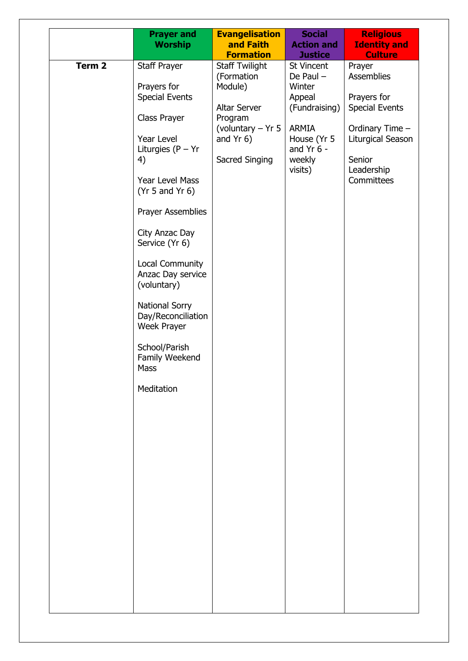|                   | <b>Worship</b>                                                                                                                                                                                                                                                 | and Faith                                                                                                                                                                      | <b>Action and</b>                                                                                                                                                     | <b>Identity and</b>                                                                                                                                                                     |
|-------------------|----------------------------------------------------------------------------------------------------------------------------------------------------------------------------------------------------------------------------------------------------------------|--------------------------------------------------------------------------------------------------------------------------------------------------------------------------------|-----------------------------------------------------------------------------------------------------------------------------------------------------------------------|-----------------------------------------------------------------------------------------------------------------------------------------------------------------------------------------|
| Term <sub>2</sub> | <b>Prayer and</b><br>Staff Prayer<br>Prayers for<br><b>Special Events</b><br>Class Prayer<br>Year Level<br>Liturgies $(P - Yr)$<br>4)<br>Year Level Mass<br>(Yr 5 and Yr 6)<br><b>Prayer Assemblies</b><br>City Anzac Day<br>Service (Yr 6)<br>Local Community | <b>Evangelisation</b><br><b>Formation</b><br><b>Staff Twilight</b><br>(Formation<br>Module)<br>Altar Server<br>Program<br>(voluntary $-$ Yr 5<br>and $Yr$ 6)<br>Sacred Singing | <b>Social</b><br><b>Justice</b><br>St Vincent<br>De Paul $-$<br>Winter<br>Appeal<br>(Fundraising)<br><b>ARMIA</b><br>House (Yr 5<br>and $Yr$ 6 -<br>weekly<br>visits) | <b>Religious</b><br><b>Culture</b><br>Prayer<br><b>Assemblies</b><br>Prayers for<br><b>Special Events</b><br>Ordinary Time -<br>Liturgical Season<br>Senior<br>Leadership<br>Committees |
|                   | Anzac Day service<br>(voluntary)<br><b>National Sorry</b><br>Day/Reconciliation<br>Week Prayer<br>School/Parish<br>Family Weekend<br>Mass<br>Meditation                                                                                                        |                                                                                                                                                                                |                                                                                                                                                                       |                                                                                                                                                                                         |
|                   |                                                                                                                                                                                                                                                                |                                                                                                                                                                                |                                                                                                                                                                       |                                                                                                                                                                                         |